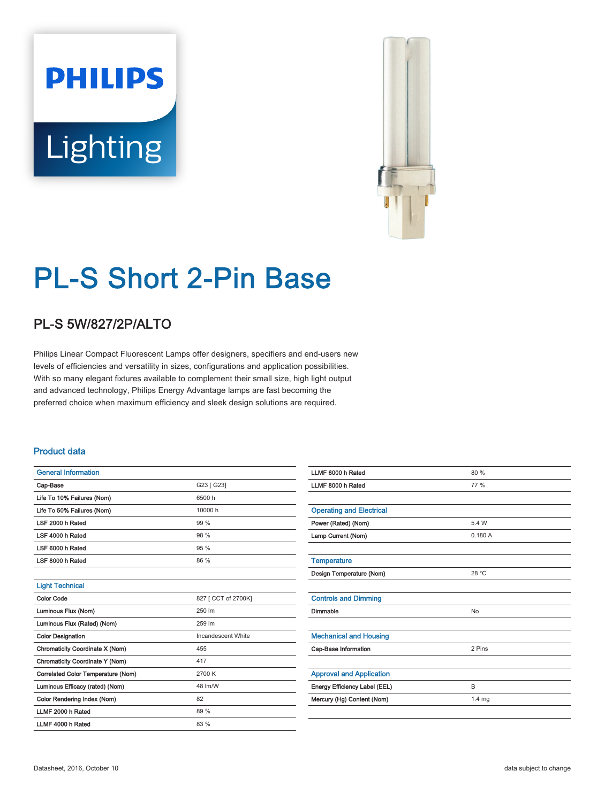# **PHILIPS** Lighting



## PL-S Short 2-Pin Base

### PL-S 5W/827/2P/ALTO

Philips Linear Compact Fluorescent Lamps offer designers, specifiers and end-users new levels of efficiencies and versatility in sizes, configurations and application possibilities. With so many elegant fixtures available to complement their small size, high light output and advanced technology, Philips Energy Advantage lamps are fast becoming the preferred choice when maximum efficiency and sleek design solutions are required.

#### Product data

| <b>General Information</b>         |                     |  |  |  |
|------------------------------------|---------------------|--|--|--|
| Cap-Base                           | G23 [ G23]          |  |  |  |
| Life To 10% Failures (Nom)         | 6500 h              |  |  |  |
| Life To 50% Failures (Nom)         | 10000 h             |  |  |  |
| LSF 2000 h Rated                   | 99 %                |  |  |  |
| LSF 4000 h Rated                   | 98 %                |  |  |  |
| LSF 6000 h Rated                   | 95 %                |  |  |  |
| LSF 8000 h Rated                   | 86 %                |  |  |  |
|                                    |                     |  |  |  |
| <b>Light Technical</b>             |                     |  |  |  |
| <b>Color Code</b>                  | 827 [ CCT of 2700K] |  |  |  |
| Luminous Flux (Nom)                | 250 lm              |  |  |  |
| Luminous Flux (Rated) (Nom)        | 259 lm              |  |  |  |
| <b>Color Designation</b>           | Incandescent White  |  |  |  |
| Chromaticity Coordinate X (Nom)    | 455                 |  |  |  |
| Chromaticity Coordinate Y (Nom)    | 417                 |  |  |  |
| Correlated Color Temperature (Nom) | 2700 K              |  |  |  |
| Luminous Efficacy (rated) (Nom)    | 48 lm/W             |  |  |  |
| Color Rendering Index (Nom)        | 82                  |  |  |  |
| LLMF 2000 h Rated                  | 89 %                |  |  |  |
| LLMF 4000 h Rated                  | 83 %                |  |  |  |

| LLMF 6000 h Rated               | 80 %              |
|---------------------------------|-------------------|
| LLMF 8000 h Rated               | 77 %              |
|                                 |                   |
| <b>Operating and Electrical</b> |                   |
| Power (Rated) (Nom)             | 5.4 W             |
| Lamp Current (Nom)              | 0.180A            |
|                                 |                   |
| <b>Temperature</b>              |                   |
| Design Temperature (Nom)        | 28 °C             |
|                                 |                   |
| <b>Controls and Dimming</b>     |                   |
| Dimmable                        | <b>No</b>         |
|                                 |                   |
| <b>Mechanical and Housing</b>   |                   |
| Cap-Base Information            | 2 Pins            |
|                                 |                   |
| <b>Approval and Application</b> |                   |
| Energy Efficiency Label (EEL)   | B                 |
| Mercury (Hg) Content (Nom)      | 1.4 <sub>mg</sub> |
|                                 |                   |